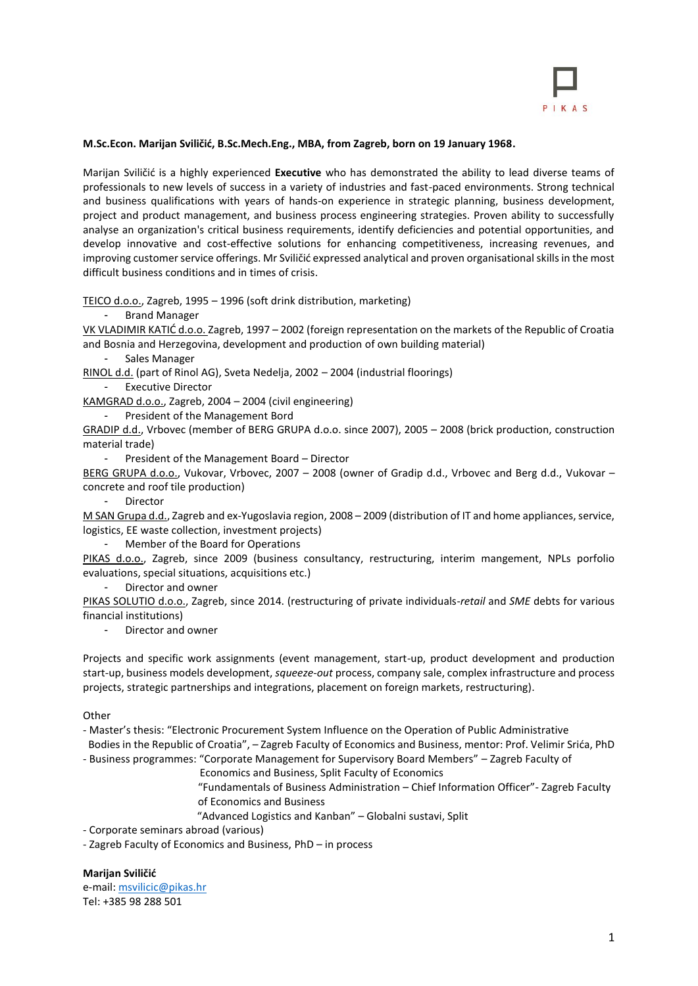

# **M.Sc.Econ. Marijan Sviličić, B.Sc.Mech.Eng., MBA, from Zagreb, born on 19 January 1968.**

Marijan Sviličić is a highly experienced **Executive** who has demonstrated the ability to lead diverse teams of professionals to new levels of success in a variety of industries and fast-paced environments. Strong technical and business qualifications with years of hands-on experience in strategic planning, business development, project and product management, and business process engineering strategies. Proven ability to successfully analyse an organization's critical business requirements, identify deficiencies and potential opportunities, and develop innovative and cost-effective solutions for enhancing competitiveness, increasing revenues, and improving customer service offerings. Mr Sviličić expressed analytical and proven organisational skills in the most difficult business conditions and in times of crisis.

TEICO d.o.o., Zagreb, 1995 – 1996 (soft drink distribution, marketing)

- Brand Manager

VK VLADIMIR KATIĆ d.o.o. Zagreb, 1997 – 2002 (foreign representation on the markets of the Republic of Croatia and Bosnia and Herzegovina, development and production of own building material)

- Sales Manager

RINOL d.d. (part of Rinol AG), Sveta Nedelja, 2002 – 2004 (industrial floorings)

Executive Director

KAMGRAD d.o.o., Zagreb, 2004 – 2004 (civil engineering)

- President of the Management Bord

GRADIP d.d., Vrbovec (member of BERG GRUPA d.o.o. since 2007), 2005 – 2008 (brick production, construction material trade)

President of the Management Board - Director

BERG GRUPA d.o.o., Vukovar, Vrbovec, 2007 - 2008 (owner of Gradip d.d., Vrbovec and Berg d.d., Vukovar concrete and roof tile production)

- Director

M SAN Grupa d.d., Zagreb and ex-Yugoslavia region, 2008 – 2009 (distribution of IT and home appliances, service, logistics, EE waste collection, investment projects)

- Member of the Board for Operations

PIKAS d.o.o., Zagreb, since 2009 (business consultancy, restructuring, interim mangement, NPLs porfolio evaluations, special situations, acquisitions etc.)

Director and owner

PIKAS SOLUTIO d.o.o., Zagreb, since 2014. (restructuring of private individuals-*retail* and *SME* debts for various financial institutions)

- Director and owner

Projects and specific work assignments (event management, start-up, product development and production start-up, business models development, *squeeze-out* process, company sale, complex infrastructure and process projects, strategic partnerships and integrations, placement on foreign markets, restructuring).

**Other** 

- Master's thesis: "Electronic Procurement System Influence on the Operation of Public Administrative

Bodies in the Republic of Croatia", – Zagreb Faculty of Economics and Business, mentor: Prof. Velimir Srića, PhD

- Business programmes: "Corporate Management for Supervisory Board Members" – Zagreb Faculty of

Economics and Business, Split Faculty of Economics

 "Fundamentals of Business Administration – Chief Information Officer"- Zagreb Faculty of Economics and Business

"Advanced Logistics and Kanban" – Globalni sustavi, Split

- Corporate seminars abroad (various)

- Zagreb Faculty of Economics and Business, PhD – in process

**Marijan Sviličić**

e-mail: [msvilicic@pikas.hr](mailto:msvilicic@pikas.hr) Tel: +385 98 288 501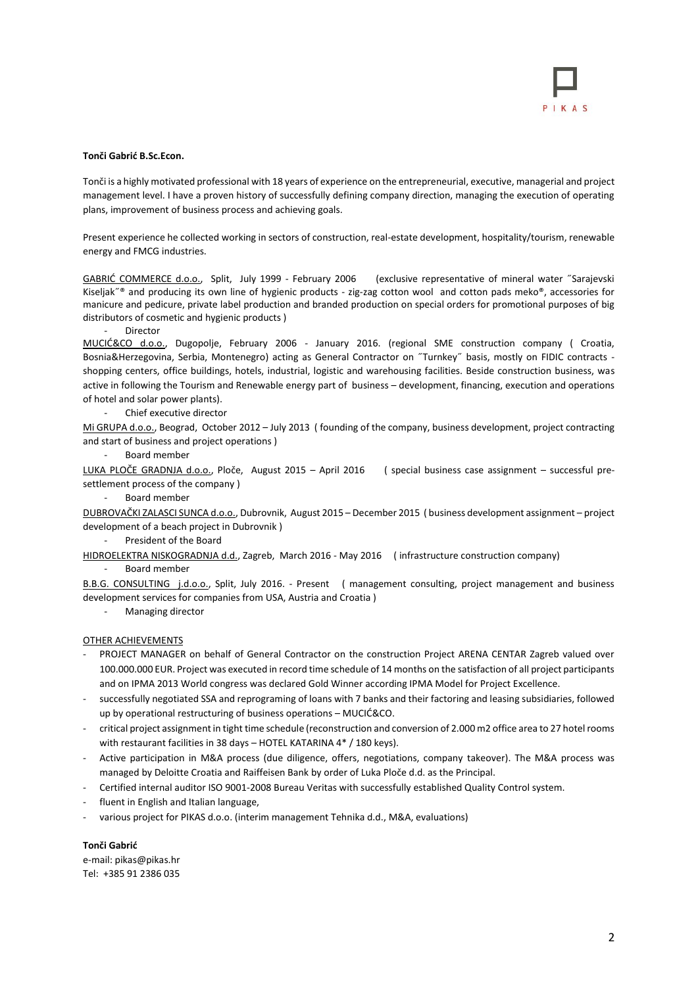### **Tonči Gabrić B.Sc.Econ.**

Tonči is a highly motivated professional with 18 years of experience on the entrepreneurial, executive, managerial and project management level. I have a proven history of successfully defining company direction, managing the execution of operating plans, improvement of business process and achieving goals.

Present experience he collected working in sectors of construction, real-estate development, hospitality/tourism, renewable energy and FMCG industries.

GABRIĆ COMMERCE d.o.o., Split, July 1999 - February 2006 (exclusive representative of mineral water ˝Sarajevski Kiseljak˝® and producing its own line of hygienic products - zig-zag cotton wool and cotton pads meko®, accessories for manicure and pedicure, private label production and branded production on special orders for promotional purposes of big distributors of cosmetic and hygienic products )

**Director** 

MUCIĆ&CO d.o.o., Dugopolje, February 2006 - January 2016. (regional SME construction company ( Croatia, Bosnia&Herzegovina, Serbia, Montenegro) acting as General Contractor on ˝Turnkey˝ basis, mostly on FIDIC contracts shopping centers, office buildings, hotels, industrial, logistic and warehousing facilities. Beside construction business, was active in following the Tourism and Renewable energy part of business – development, financing, execution and operations of hotel and solar power plants).

Chief executive director

Mi GRUPA d.o.o., Beograd, October 2012 – July 2013 ( founding of the company, business development, project contracting and start of business and project operations )

- Board member

LUKA PLOČE GRADNJA d.o.o., Ploče, August 2015 – April 2016 ( special business case assignment – successful presettlement process of the company )

- Board member

DUBROVAČKI ZALASCI SUNCA d.o.o., Dubrovnik, August 2015 – December 2015 ( business development assignment – project development of a beach project in Dubrovnik )

President of the Board

HIDROELEKTRA NISKOGRADNJA d.d., Zagreb, March 2016 - May 2016 ( infrastructure construction company)

- Board member

B.B.G. CONSULTING j.d.o.o., Split, July 2016. - Present ( management consulting, project management and business development services for companies from USA, Austria and Croatia )

- Managing director

#### OTHER ACHIEVEMENTS

- PROJECT MANAGER on behalf of General Contractor on the construction Project ARENA CENTAR Zagreb valued over 100.000.000 EUR. Project was executed in record time schedule of 14 months on the satisfaction of all project participants and on IPMA 2013 World congress was declared Gold Winner according IPMA Model for Project Excellence.
- successfully negotiated SSA and reprograming of loans with 7 banks and their factoring and leasing subsidiaries, followed up by operational restructuring of business operations – MUCIĆ&CO.
- critical project assignment in tight time schedule (reconstruction and conversion of 2.000 m2 office area to 27 hotel rooms with restaurant facilities in 38 days – HOTEL KATARINA 4\* / 180 keys).
- Active participation in M&A process (due diligence, offers, negotiations, company takeover). The M&A process was managed by Deloitte Croatia and Raiffeisen Bank by order of Luka Ploče d.d. as the Principal.
- Certified internal auditor ISO 9001-2008 Bureau Veritas with successfully established Quality Control system.
- fluent in English and Italian language.
- various project for PIKAS d.o.o. (interim management Tehnika d.d., M&A, evaluations)

## **Tonči Gabrić**

e-mail: pikas@pikas.hr Tel: +385 91 2386 035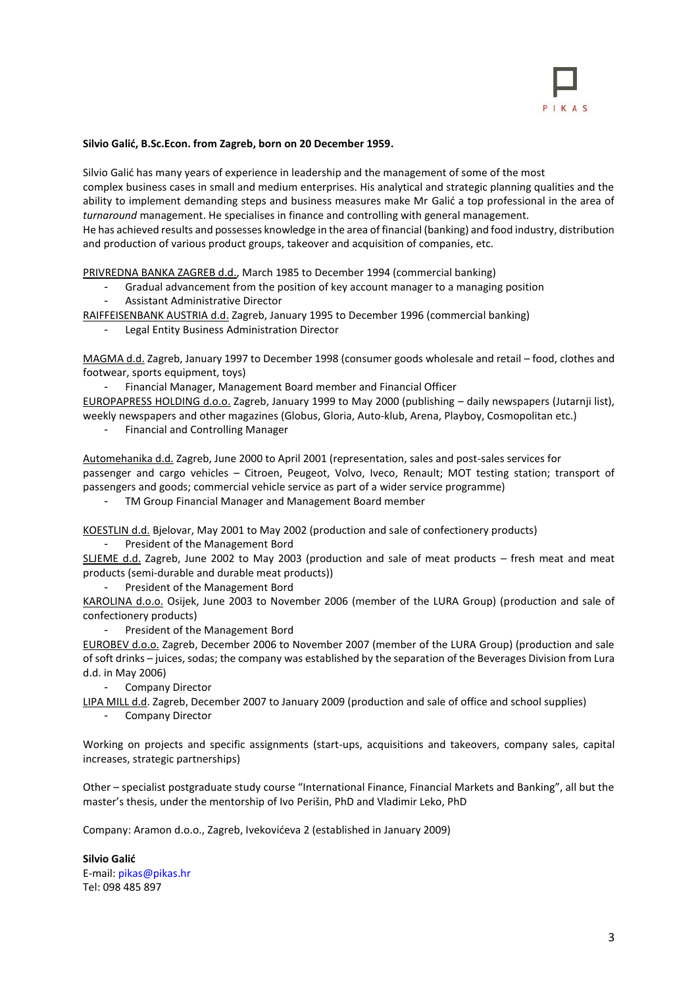

## **Silvio Galić, B.Sc.Econ. from Zagreb, born on 20 December 1959.**

Silvio Galić has many years of experience in leadership and the management of some of the most complex business cases in small and medium enterprises. His analytical and strategic planning qualities and the ability to implement demanding steps and business measures make Mr Galić a top professional in the area of *turnaround* management. He specialises in finance and controlling with general management. He has achieved results and possesses knowledge in the area of financial (banking) and food industry, distribution and production of various product groups, takeover and acquisition of companies, etc.

PRIVREDNA BANKA ZAGREB d.d., March 1985 to December 1994 (commercial banking)

- Gradual advancement from the position of key account manager to a managing position
- Assistant Administrative Director

RAIFFEISENBANK AUSTRIA d.d. Zagreb, January 1995 to December 1996 (commercial banking)

- Legal Entity Business Administration Director

MAGMA d.d. Zagreb, January 1997 to December 1998 (consumer goods wholesale and retail – food, clothes and footwear, sports equipment, toys)

- Financial Manager, Management Board member and Financial Officer EUROPAPRESS HOLDING d.o.o. Zagreb, January 1999 to May 2000 (publishing – daily newspapers (Jutarnji list), weekly newspapers and other magazines (Globus, Gloria, Auto-klub, Arena, Playboy, Cosmopolitan etc.)

- Financial and Controlling Manager

Automehanika d.d. Zagreb, June 2000 to April 2001 (representation, sales and post-sales services for passenger and cargo vehicles – Citroen, Peugeot, Volvo, Iveco, Renault; MOT testing station; transport of passengers and goods; commercial vehicle service as part of a wider service programme)

- TM Group Financial Manager and Management Board member

KOESTLIN d.d. Bjelovar, May 2001 to May 2002 (production and sale of confectionery products)

- President of the Management Bord

SLJEME d.d. Zagreb, June 2002 to May 2003 (production and sale of meat products – fresh meat and meat products (semi-durable and durable meat products))

President of the Management Bord

KAROLINA d.o.o. Osijek, June 2003 to November 2006 (member of the LURA Group) (production and sale of confectionery products)

President of the Management Bord

EUROBEV d.o.o. Zagreb, December 2006 to November 2007 (member of the LURA Group) (production and sale of soft drinks – juices, sodas; the company was established by the separation of the Beverages Division from Lura d.d. in May 2006)

- Company Director

LIPA MILL d.d. Zagreb, December 2007 to January 2009 (production and sale of office and school supplies)

Company Director

Working on projects and specific assignments (start-ups, acquisitions and takeovers, company sales, capital increases, strategic partnerships)

Other – specialist postgraduate study course "International Finance, Financial Markets and Banking", all but the master's thesis, under the mentorship of Ivo Perišin, PhD and Vladimir Leko, PhD

Company: Aramon d.o.o., Zagreb, Ivekovićeva 2 (established in January 2009)

**Silvio Galić** E-mail: pikas@pikas.hr Tel: 098 485 897